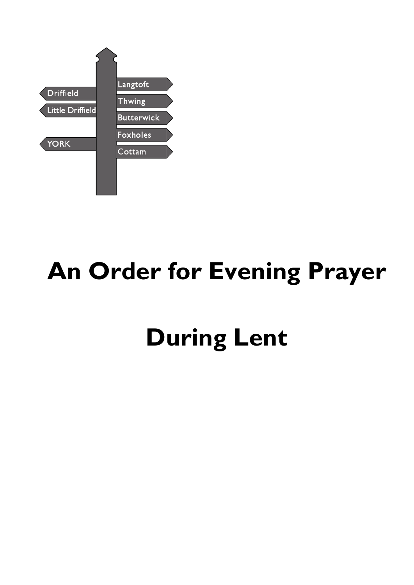

# **An Order for Evening Prayer**

# **During Lent**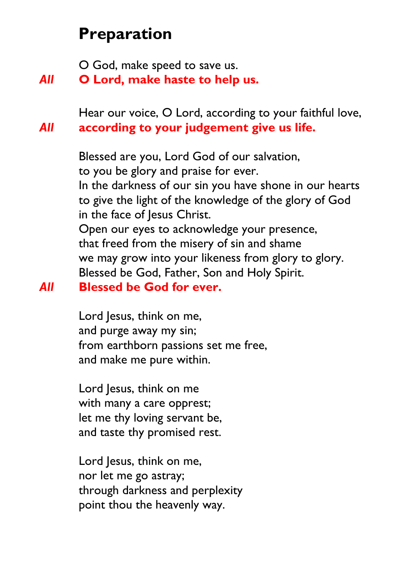# **Preparation**

O God, make speed to save us.

*All* **O Lord, make haste to help us.**

Hear our voice, O Lord, according to your faithful love, *All* **according to your judgement give us life.**

> Blessed are you, Lord God of our salvation, to you be glory and praise for ever. In the darkness of our sin you have shone in our hearts to give the light of the knowledge of the glory of God in the face of Jesus Christ. Open our eyes to acknowledge your presence, that freed from the misery of sin and shame we may grow into your likeness from glory to glory. Blessed be God, Father, Son and Holy Spirit.

### *All* **Blessed be God for ever.**

Lord Jesus, think on me, and purge away my sin; from earthborn passions set me free, and make me pure within.

Lord Jesus, think on me with many a care opprest; let me thy loving servant be, and taste thy promised rest.

Lord Jesus, think on me, nor let me go astray; through darkness and perplexity point thou the heavenly way.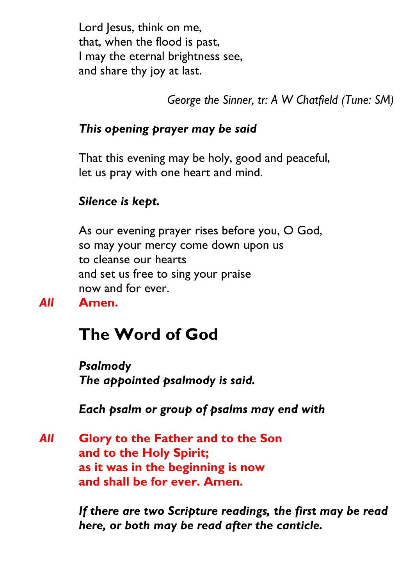Lord Jesus, think on me, that, when the flood is past, I may the eternal brightness see, and share thy joy at last.

*George the Sinner, tr: A W Chatfield (Tune: SM)*

## *This opening prayer may be said*

That this evening may be holy, good and peaceful, let us pray with one heart and mind.

#### *Silence is kept.*

As our evening prayer rises before you, O God, so may your mercy come down upon us to cleanse our hearts and set us free to sing your praise now and for ever.

*All* **Amen.**

# **The Word of God**

*Psalmody The appointed psalmody is said.*

*Each psalm or group of psalms may end with*

*All* **Glory to the Father and to the Son and to the Holy Spirit; as it was in the beginning is now and shall be for ever. Amen.**

> *If there are two Scripture readings, the first may be read here, or both may be read after the canticle.*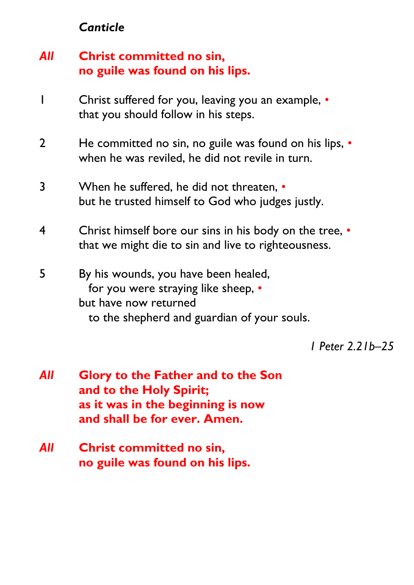### *Canticle*

# *All* **Christ committed no sin, no guile was found on his lips.**

- 1 Christ suffered for you, leaving you an example, that you should follow in his steps.
- 2 He committed no sin, no guile was found on his lips, when he was reviled, he did not revile in turn.
- 3 When he suffered, he did not threaten, but he trusted himself to God who judges justly.
- 4 Christ himself bore our sins in his body on the tree, that we might die to sin and live to righteousness.
- 5 By his wounds, you have been healed, for you were straying like sheep, • but have now returned to the shepherd and guardian of your souls.

*1 Peter 2.21b–25*

- *All* **Glory to the Father and to the Son and to the Holy Spirit; as it was in the beginning is now and shall be for ever. Amen.**
- *All* **Christ committed no sin, no guile was found on his lips.**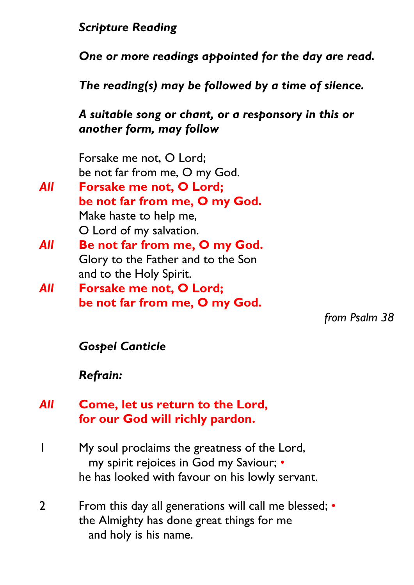# *Scripture Reading*

*One or more readings appointed for the day are read.*

*The reading(s) may be followed by a time of silence.*

# *A suitable song or chant, or a responsory in this or another form, may follow*

Forsake me not, O Lord; be not far from me, O my God.

- *All* **Forsake me not, O Lord; be not far from me, O my God.** Make haste to help me, O Lord of my salvation. *All* **Be not far from me, O my God.**
- Glory to the Father and to the Son and to the Holy Spirit.
- *All* **Forsake me not, O Lord; be not far from me, O my God.**

*from Psalm 38*

# *Gospel Canticle*

# *Refrain:*

# *All* **Come, let us return to the Lord, for our God will richly pardon.**

- 1 My soul proclaims the greatness of the Lord, my spirit rejoices in God my Saviour; • he has looked with favour on his lowly servant.
- 2 From this day all generations will call me blessed; the Almighty has done great things for me and holy is his name.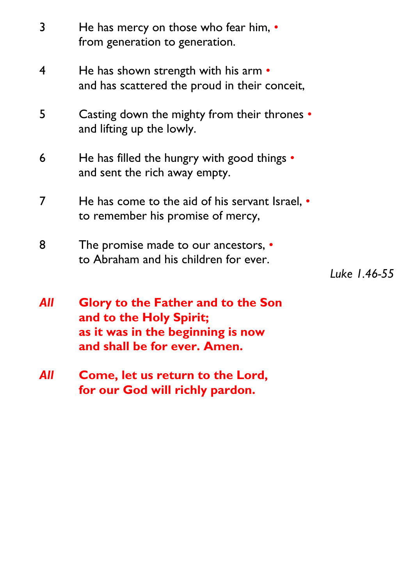| 3   | He has mercy on those who fear him, .<br>from generation to generation.                                                                   |              |
|-----|-------------------------------------------------------------------------------------------------------------------------------------------|--------------|
| 4   | He has shown strength with his arm $\bullet$<br>and has scattered the proud in their conceit,                                             |              |
| 5   | Casting down the mighty from their thrones •<br>and lifting up the lowly.                                                                 |              |
| 6   | He has filled the hungry with good things •<br>and sent the rich away empty.                                                              |              |
| 7   | He has come to the aid of his servant Israel, $\cdot$<br>to remember his promise of mercy,                                                |              |
| 8   | The promise made to our ancestors, •<br>to Abraham and his children for ever.                                                             | Luke 1.46-55 |
| All | <b>Glory to the Father and to the Son</b><br>and to the Holy Spirit;<br>as it was in the beginning is now<br>and shall be for ever. Amen. |              |
| All | <b>Come, let us return to the Lord,</b>                                                                                                   |              |

**for our God will richly pardon.**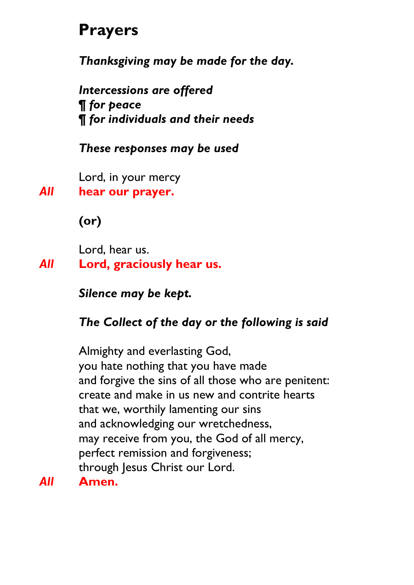# **Prayers**

*Thanksgiving may be made for the day.*

*Intercessions are offered ¶ for peace ¶ for individuals and their needs*

#### *These responses may be used*

Lord, in your mercy

*All* **hear our prayer.**

**(or)**

Lord, hear us. *All* **Lord, graciously hear us.**

*Silence may be kept.*

# *The Collect of the day or the following is said*

Almighty and everlasting God, you hate nothing that you have made and forgive the sins of all those who are penitent: create and make in us new and contrite hearts that we, worthily lamenting our sins and acknowledging our wretchedness, may receive from you, the God of all mercy, perfect remission and forgiveness; through Jesus Christ our Lord.

*All* **Amen.**